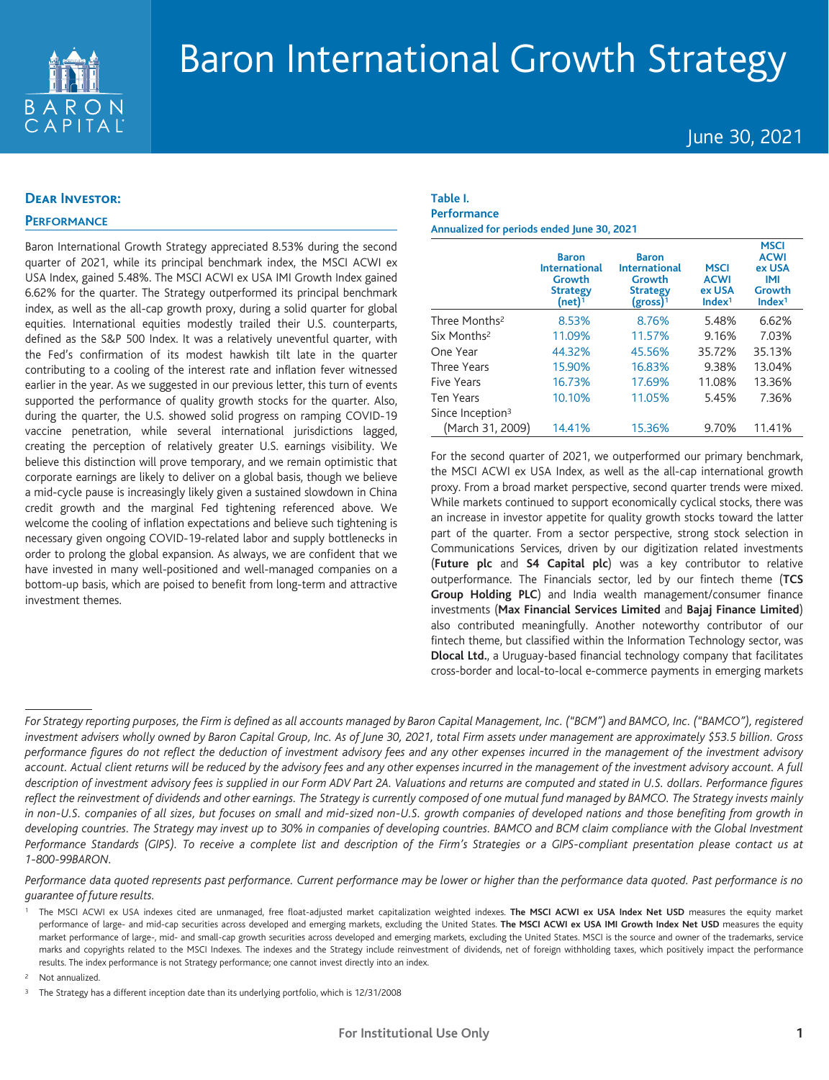

# Baron International Growth Strategy

# June 30, 2021

#### **Dear Investor:**

## **PERFORMANCE**

Baron International Growth Strategy appreciated 8.53% during the second quarter of 2021, while its principal benchmark index, the MSCI ACWI ex USA Index, gained 5.48%. The MSCI ACWI ex USA IMI Growth Index gained 6.62% for the quarter. The Strategy outperformed its principal benchmark index, as well as the all-cap growth proxy, during a solid quarter for global equities. International equities modestly trailed their U.S. counterparts, defined as the S&P 500 Index. It was a relatively uneventful quarter, with the Fed's confirmation of its modest hawkish tilt late in the quarter contributing to a cooling of the interest rate and inflation fever witnessed earlier in the year. As we suggested in our previous letter, this turn of events supported the performance of quality growth stocks for the quarter. Also, during the quarter, the U.S. showed solid progress on ramping COVID-19 vaccine penetration, while several international jurisdictions lagged, creating the perception of relatively greater U.S. earnings visibility. We believe this distinction will prove temporary, and we remain optimistic that corporate earnings are likely to deliver on a global basis, though we believe a mid-cycle pause is increasingly likely given a sustained slowdown in China credit growth and the marginal Fed tightening referenced above. We welcome the cooling of inflation expectations and believe such tightening is necessary given ongoing COVID-19-related labor and supply bottlenecks in order to prolong the global expansion. As always, we are confident that we have invested in many well-positioned and well-managed companies on a bottom-up basis, which are poised to benefit from long-term and attractive investment themes.

# **Table I. Performance**

**Annualized for periods ended June 30, 2021**

|                              | <b>Baron</b><br><b>International</b><br>Growth<br><b>Strategy</b><br>(net) <sup>1</sup> | <b>Baron</b><br><b>International</b><br>Growth<br><b>Strategy</b><br>(gross) <sup>1</sup> | <b>MSCI</b><br><b>ACWI</b><br>ex USA<br>Index <sup>1</sup> | <b>MSCI</b><br><b>ACWI</b><br>ex USA<br>IMI<br>Growth<br>Index <sup>1</sup> |
|------------------------------|-----------------------------------------------------------------------------------------|-------------------------------------------------------------------------------------------|------------------------------------------------------------|-----------------------------------------------------------------------------|
| Three Months <sup>2</sup>    | 8.53%                                                                                   | 8.76%                                                                                     | 5.48%                                                      | 6.62%                                                                       |
| Six Months <sup>2</sup>      | 11.09%                                                                                  | 11.57%                                                                                    | 9.16%                                                      | 7.03%                                                                       |
| One Year                     | 44.32%                                                                                  | 45.56%                                                                                    | 35.72%                                                     | 35.13%                                                                      |
| Three Years                  | 15.90%                                                                                  | 16.83%                                                                                    | 9.38%                                                      | 13.04%                                                                      |
| Five Years                   | 16.73%                                                                                  | 17.69%                                                                                    | 11.08%                                                     | 13.36%                                                                      |
| <b>Ten Years</b>             | 10.10%                                                                                  | 11.05%                                                                                    | 5.45%                                                      | 7.36%                                                                       |
| Since Inception <sup>3</sup> |                                                                                         |                                                                                           |                                                            |                                                                             |
| (March 31, 2009)             | 14.41%                                                                                  | 15.36%                                                                                    | 9.70%                                                      | 11.41%                                                                      |

For the second quarter of 2021, we outperformed our primary benchmark, the MSCI ACWI ex USA Index, as well as the all-cap international growth proxy. From a broad market perspective, second quarter trends were mixed. While markets continued to support economically cyclical stocks, there was an increase in investor appetite for quality growth stocks toward the latter part of the quarter. From a sector perspective, strong stock selection in Communications Services, driven by our digitization related investments (**Future plc** and **S4 Capital plc**) was a key contributor to relative outperformance. The Financials sector, led by our fintech theme (**TCS Group Holding PLC**) and India wealth management/consumer finance investments (**Max Financial Services Limited** and **Bajaj Finance Limited**) also contributed meaningfully. Another noteworthy contributor of our fintech theme, but classified within the Information Technology sector, was **Dlocal Ltd.**, a Uruguay-based financial technology company that facilitates cross-border and local-to-local e-commerce payments in emerging markets

Performance data quoted represents past performance. Current performance may be lower or higher than the performance data quoted. Past performance is no *guarantee of future results.*

<sup>2</sup> Not annualized.

For Strategy reporting purposes, the Firm is defined as all accounts managed by Baron Capital Management, Inc. ("BCM") and BAMCO, Inc. ("BAMCO"), registered investment advisers wholly owned by Baron Capital Group, Inc. As of June 30, 2021, total Firm assets under management are approximately \$53.5 billion. Gross performance figures do not reflect the deduction of investment advisory fees and any other expenses incurred in the management of the investment advisory account. Actual client returns will be reduced by the advisory fees and any other expenses incurred in the management of the investment advisory account. A full description of investment advisory fees is supplied in our Form ADV Part 2A. Valuations and returns are computed and stated in U.S. dollars. Performance figures reflect the reinvestment of dividends and other earnings. The Strategy is currently composed of one mutual fund managed by BAMCO. The Strategy invests mainly in non-U.S. companies of all sizes, but focuses on small and mid-sized non-U.S. growth companies of developed nations and those benefiting from growth in developing countries. The Strategy may invest up to 30% in companies of developing countries. BAMCO and BCM claim compliance with the Global Investment Performance Standards (GIPS). To receive a complete list and description of the Firm's Strategies or a GIPS-compliant presentation please contact us at *1-800-99BARON.*

The MSCI ACWI ex USA indexes cited are unmanaged, free float-adjusted market capitalization weighted indexes. The MSCI ACWI ex USA Index Net USD measures the equity market performance of large- and mid-cap securities across developed and emerging markets, excluding the United States. The MSCI ACWI ex USA IMI Growth Index Net USD measures the equity market performance of large-, mid- and small-cap growth securities across developed and emerging markets, excluding the United States. MSCI is the source and owner of the trademarks, service marks and copyrights related to the MSCI Indexes. The indexes and the Strategy include reinvestment of dividends, net of foreign withholding taxes, which positively impact the performance results. The index performance is not Strategy performance; one cannot invest directly into an index.

<sup>&</sup>lt;sup>3</sup> The Strategy has a different inception date than its underlying portfolio, which is 12/31/2008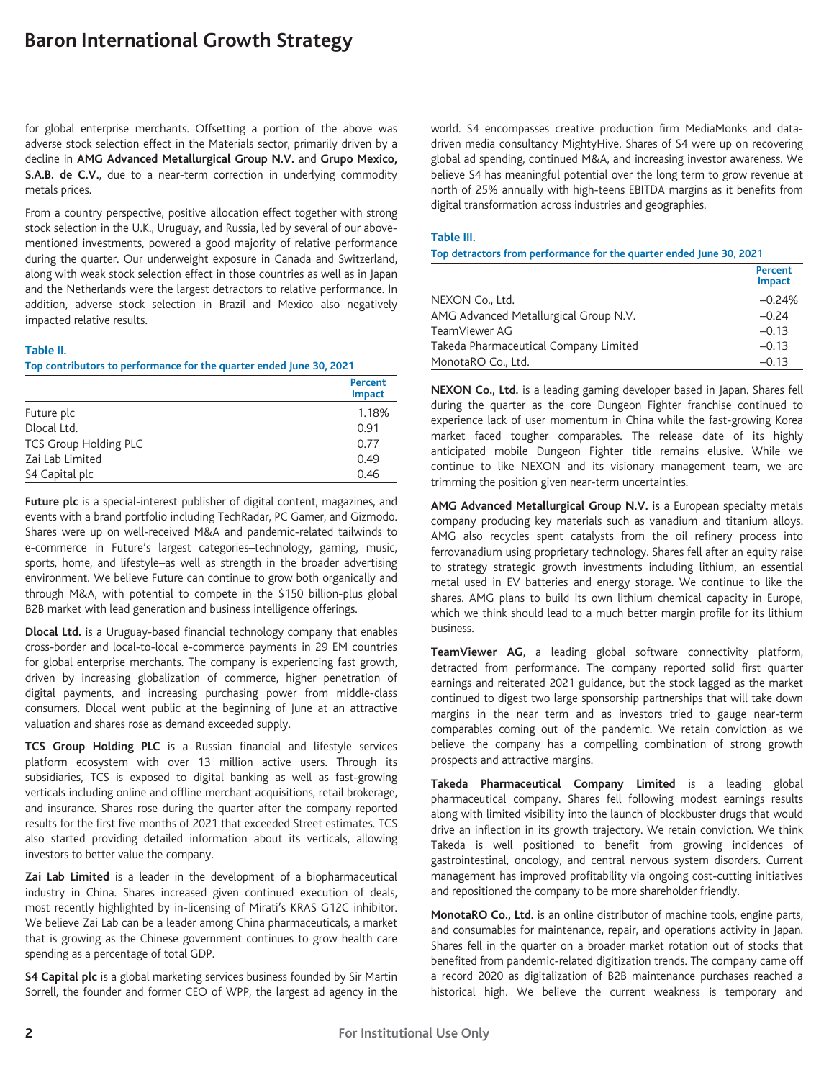# **Baron International Growth Strategy**

for global enterprise merchants. Offsetting a portion of the above was adverse stock selection effect in the Materials sector, primarily driven by a decline in **AMG Advanced Metallurgical Group N.V.** and **Grupo Mexico, S.A.B. de C.V.**, due to a near-term correction in underlying commodity metals prices.

From a country perspective, positive allocation effect together with strong stock selection in the U.K., Uruguay, and Russia, led by several of our abovementioned investments, powered a good majority of relative performance during the quarter. Our underweight exposure in Canada and Switzerland, along with weak stock selection effect in those countries as well as in Japan and the Netherlands were the largest detractors to relative performance. In addition, adverse stock selection in Brazil and Mexico also negatively impacted relative results.

## **Table II.**

**Top contributors to performance for the quarter ended June 30, 2021**

|                              | Percent<br><b>Impact</b> |
|------------------------------|--------------------------|
| Future plc                   | 1.18%                    |
| Dlocal Ltd.                  | 0.91                     |
| <b>TCS Group Holding PLC</b> | 0.77                     |
| Zai Lab Limited              | 0.49                     |
| S4 Capital plc               | 0.46                     |

**Future plc** is a special-interest publisher of digital content, magazines, and events with a brand portfolio including TechRadar, PC Gamer, and Gizmodo. Shares were up on well-received M&A and pandemic-related tailwinds to e-commerce in Future's largest categories–technology, gaming, music, sports, home, and lifestyle–as well as strength in the broader advertising environment. We believe Future can continue to grow both organically and through M&A, with potential to compete in the \$150 billion-plus global B2B market with lead generation and business intelligence offerings.

**Dlocal Ltd.** is a Uruguay-based financial technology company that enables cross-border and local-to-local e-commerce payments in 29 EM countries for global enterprise merchants. The company is experiencing fast growth, driven by increasing globalization of commerce, higher penetration of digital payments, and increasing purchasing power from middle-class consumers. Dlocal went public at the beginning of June at an attractive valuation and shares rose as demand exceeded supply.

**TCS Group Holding PLC** is a Russian financial and lifestyle services platform ecosystem with over 13 million active users. Through its subsidiaries, TCS is exposed to digital banking as well as fast-growing verticals including online and offline merchant acquisitions, retail brokerage, and insurance. Shares rose during the quarter after the company reported results for the first five months of 2021 that exceeded Street estimates. TCS also started providing detailed information about its verticals, allowing investors to better value the company.

**Zai Lab Limited** is a leader in the development of a biopharmaceutical industry in China. Shares increased given continued execution of deals, most recently highlighted by in-licensing of Mirati's KRAS G12C inhibitor. We believe Zai Lab can be a leader among China pharmaceuticals, a market that is growing as the Chinese government continues to grow health care spending as a percentage of total GDP.

**S4 Capital plc** is a global marketing services business founded by Sir Martin Sorrell, the founder and former CEO of WPP, the largest ad agency in the world. S4 encompasses creative production firm MediaMonks and datadriven media consultancy MightyHive. Shares of S4 were up on recovering global ad spending, continued M&A, and increasing investor awareness. We believe S4 has meaningful potential over the long term to grow revenue at north of 25% annually with high-teens EBITDA margins as it benefits from digital transformation across industries and geographies.

#### **Table III.**

## **Top detractors from performance for the quarter ended June 30, 2021**

|                                       | Percent<br><b>Impact</b> |
|---------------------------------------|--------------------------|
| NEXON Co., Ltd.                       | $-0.24%$                 |
| AMG Advanced Metallurgical Group N.V. | $-0.24$                  |
| TeamViewer AG                         | $-0.13$                  |
| Takeda Pharmaceutical Company Limited | $-0.13$                  |
| MonotaRO Co., Ltd.                    | $-0.13$                  |

**NEXON Co., Ltd.** is a leading gaming developer based in Japan. Shares fell during the quarter as the core Dungeon Fighter franchise continued to experience lack of user momentum in China while the fast-growing Korea market faced tougher comparables. The release date of its highly anticipated mobile Dungeon Fighter title remains elusive. While we continue to like NEXON and its visionary management team, we are trimming the position given near-term uncertainties.

**AMG Advanced Metallurgical Group N.V.** is a European specialty metals company producing key materials such as vanadium and titanium alloys. AMG also recycles spent catalysts from the oil refinery process into ferrovanadium using proprietary technology. Shares fell after an equity raise to strategy strategic growth investments including lithium, an essential metal used in EV batteries and energy storage. We continue to like the shares. AMG plans to build its own lithium chemical capacity in Europe, which we think should lead to a much better margin profile for its lithium business.

**TeamViewer AG**, a leading global software connectivity platform, detracted from performance. The company reported solid first quarter earnings and reiterated 2021 guidance, but the stock lagged as the market continued to digest two large sponsorship partnerships that will take down margins in the near term and as investors tried to gauge near-term comparables coming out of the pandemic. We retain conviction as we believe the company has a compelling combination of strong growth prospects and attractive margins.

**Takeda Pharmaceutical Company Limited** is a leading global pharmaceutical company. Shares fell following modest earnings results along with limited visibility into the launch of blockbuster drugs that would drive an inflection in its growth trajectory. We retain conviction. We think Takeda is well positioned to benefit from growing incidences of gastrointestinal, oncology, and central nervous system disorders. Current management has improved profitability via ongoing cost-cutting initiatives and repositioned the company to be more shareholder friendly.

**MonotaRO Co., Ltd.** is an online distributor of machine tools, engine parts, and consumables for maintenance, repair, and operations activity in Japan. Shares fell in the quarter on a broader market rotation out of stocks that benefited from pandemic-related digitization trends. The company came off a record 2020 as digitalization of B2B maintenance purchases reached a historical high. We believe the current weakness is temporary and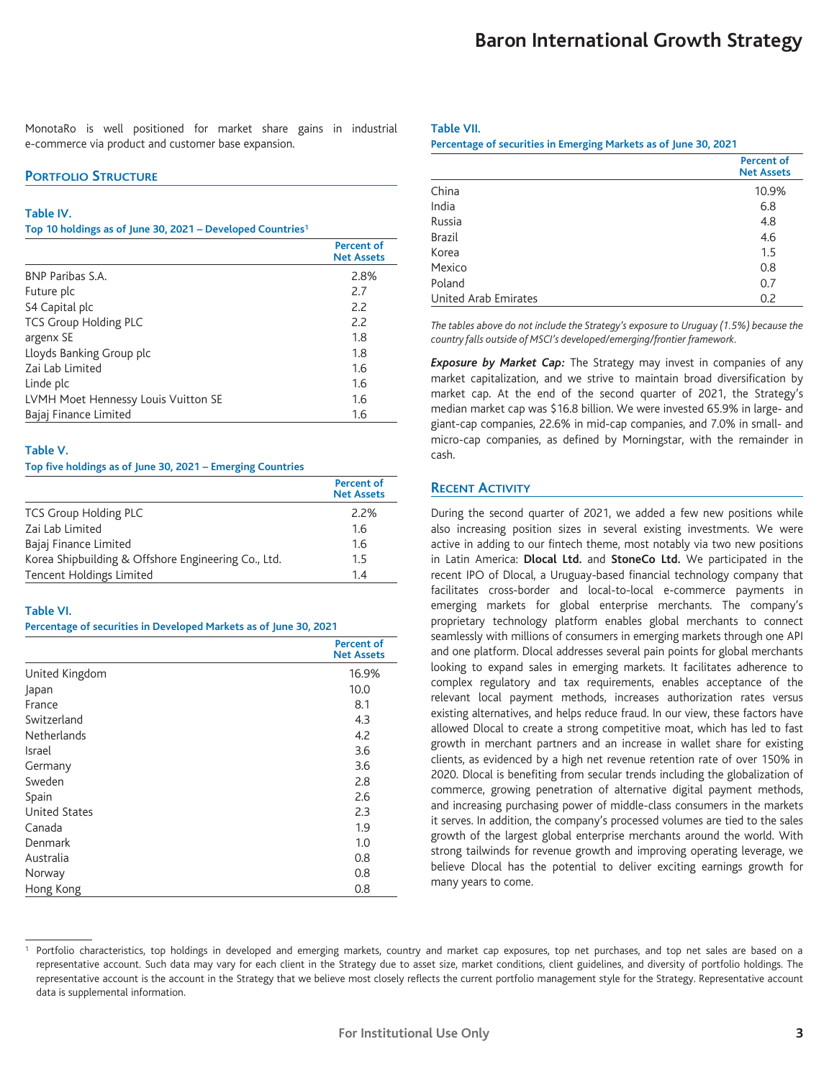MonotaRo is well positioned for market share gains in industrial e-commerce via product and customer base expansion.

#### **PORTFOLIO STRUCTURE**

#### **Table IV.**

#### **Top 10 holdings as of June 30, 2021 – Developed Countries1**

|                                     | <b>Percent of</b><br><b>Net Assets</b> |
|-------------------------------------|----------------------------------------|
| BNP Paribas S.A.                    | 2.8%                                   |
| Future plc                          | 2.7                                    |
| S4 Capital plc                      | 2.2                                    |
| <b>TCS Group Holding PLC</b>        | 2.2                                    |
| argenx SE                           | 1.8                                    |
| Lloyds Banking Group plc            | 1.8                                    |
| Zai Lab Limited                     | 1.6                                    |
| Linde plc                           | 1.6                                    |
| LVMH Moet Hennessy Louis Vuitton SE | 1.6                                    |
| Bajaj Finance Limited               | 1.6                                    |

#### **Table V.**

#### **Top five holdings as of June 30, 2021 – Emerging Countries**

|                                                     | <b>Percent of</b><br><b>Net Assets</b> |
|-----------------------------------------------------|----------------------------------------|
| <b>TCS Group Holding PLC</b>                        | 2.2%                                   |
| Zai Lab Limited                                     | 1.6                                    |
| Bajaj Finance Limited                               | 1.6                                    |
| Korea Shipbuilding & Offshore Engineering Co., Ltd. | 1.5                                    |
| Tencent Holdings Limited                            | 14                                     |

## **Table VI.**

#### **Percentage of securities in Developed Markets as of June 30, 2021**

|                      | <b>Percent of</b><br><b>Net Assets</b> |
|----------------------|----------------------------------------|
| United Kingdom       | 16.9%                                  |
| Japan                | 10.0                                   |
| France               | 8.1                                    |
| Switzerland          | 4.3                                    |
| <b>Netherlands</b>   | 4.2                                    |
| Israel               | 3.6                                    |
| Germany              | 3.6                                    |
| Sweden               | 2.8                                    |
| Spain                | 2.6                                    |
| <b>United States</b> | 2.3                                    |
| Canada               | 1.9                                    |
| Denmark              | 1.0                                    |
| Australia            | 0.8                                    |
| Norway               | 0.8                                    |
| Hong Kong            | 0.8                                    |

#### **Table VII.**

**Percentage of securities in Emerging Markets as of June 30, 2021**

|                      | <b>Percent of</b><br><b>Net Assets</b> |
|----------------------|----------------------------------------|
| China                | 10.9%                                  |
| India                | 6.8                                    |
| Russia               | 4.8                                    |
| <b>Brazil</b>        | 4.6                                    |
| Korea                | 1.5                                    |
| Mexico               | 0.8                                    |
| Poland               | 0.7                                    |
| United Arab Emirates | 0.2                                    |

*The tables above do not include the Strategy's exposure to Uruguay (1.5%) because the country falls outside of MSCI's developed/emerging/frontier framework.*

*Exposure by Market Cap:* The Strategy may invest in companies of any market capitalization, and we strive to maintain broad diversification by market cap. At the end of the second quarter of 2021, the Strategy's median market cap was \$16.8 billion. We were invested 65.9% in large- and giant-cap companies, 22.6% in mid-cap companies, and 7.0% in small- and micro-cap companies, as defined by Morningstar, with the remainder in cash.

#### **RECENT ACTIVITY**

During the second quarter of 2021, we added a few new positions while also increasing position sizes in several existing investments. We were active in adding to our fintech theme, most notably via two new positions in Latin America: **Dlocal Ltd.** and **StoneCo Ltd.** We participated in the recent IPO of Dlocal, a Uruguay-based financial technology company that facilitates cross-border and local-to-local e-commerce payments in emerging markets for global enterprise merchants. The company's proprietary technology platform enables global merchants to connect seamlessly with millions of consumers in emerging markets through one API and one platform. Dlocal addresses several pain points for global merchants looking to expand sales in emerging markets. It facilitates adherence to complex regulatory and tax requirements, enables acceptance of the relevant local payment methods, increases authorization rates versus existing alternatives, and helps reduce fraud. In our view, these factors have allowed Dlocal to create a strong competitive moat, which has led to fast growth in merchant partners and an increase in wallet share for existing clients, as evidenced by a high net revenue retention rate of over 150% in 2020. Dlocal is benefiting from secular trends including the globalization of commerce, growing penetration of alternative digital payment methods, and increasing purchasing power of middle-class consumers in the markets it serves. In addition, the company's processed volumes are tied to the sales growth of the largest global enterprise merchants around the world. With strong tailwinds for revenue growth and improving operating leverage, we believe Dlocal has the potential to deliver exciting earnings growth for many years to come.

Portfolio characteristics, top holdings in developed and emerging markets, country and market cap exposures, top net purchases, and top net sales are based on a representative account. Such data may vary for each client in the Strategy due to asset size, market conditions, client guidelines, and diversity of portfolio holdings. The representative account is the account in the Strategy that we believe most closely reflects the current portfolio management style for the Strategy. Representative account data is supplemental information.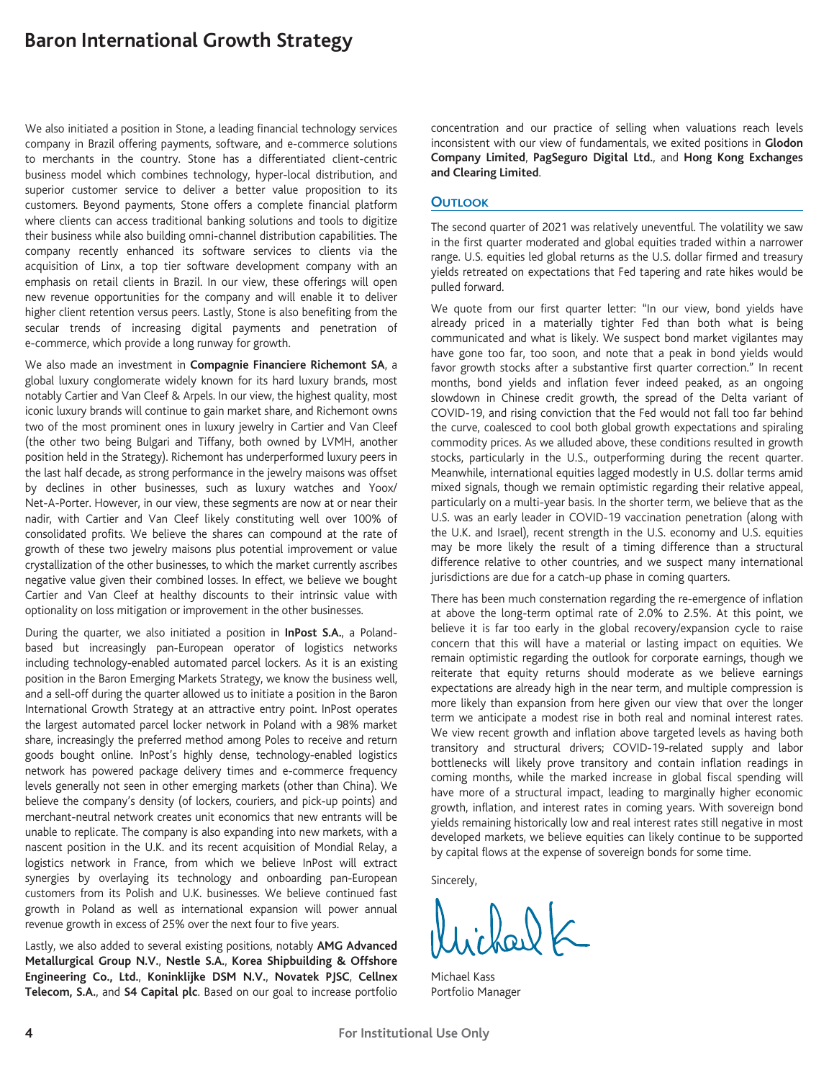# **Baron International Growth Strategy**

We also initiated a position in Stone, a leading financial technology services company in Brazil offering payments, software, and e-commerce solutions to merchants in the country. Stone has a differentiated client-centric business model which combines technology, hyper-local distribution, and superior customer service to deliver a better value proposition to its customers. Beyond payments, Stone offers a complete financial platform where clients can access traditional banking solutions and tools to digitize their business while also building omni-channel distribution capabilities. The company recently enhanced its software services to clients via the acquisition of Linx, a top tier software development company with an emphasis on retail clients in Brazil. In our view, these offerings will open new revenue opportunities for the company and will enable it to deliver higher client retention versus peers. Lastly, Stone is also benefiting from the secular trends of increasing digital payments and penetration of e-commerce, which provide a long runway for growth.

We also made an investment in **Compagnie Financiere Richemont SA**, a global luxury conglomerate widely known for its hard luxury brands, most notably Cartier and Van Cleef & Arpels. In our view, the highest quality, most iconic luxury brands will continue to gain market share, and Richemont owns two of the most prominent ones in luxury jewelry in Cartier and Van Cleef (the other two being Bulgari and Tiffany, both owned by LVMH, another position held in the Strategy). Richemont has underperformed luxury peers in the last half decade, as strong performance in the jewelry maisons was offset by declines in other businesses, such as luxury watches and Yoox/ Net-A-Porter. However, in our view, these segments are now at or near their nadir, with Cartier and Van Cleef likely constituting well over 100% of consolidated profits. We believe the shares can compound at the rate of growth of these two jewelry maisons plus potential improvement or value crystallization of the other businesses, to which the market currently ascribes negative value given their combined losses. In effect, we believe we bought Cartier and Van Cleef at healthy discounts to their intrinsic value with optionality on loss mitigation or improvement in the other businesses.

During the quarter, we also initiated a position in **InPost S.A.**, a Polandbased but increasingly pan-European operator of logistics networks including technology-enabled automated parcel lockers. As it is an existing position in the Baron Emerging Markets Strategy, we know the business well, and a sell-off during the quarter allowed us to initiate a position in the Baron International Growth Strategy at an attractive entry point. InPost operates the largest automated parcel locker network in Poland with a 98% market share, increasingly the preferred method among Poles to receive and return goods bought online. InPost's highly dense, technology-enabled logistics network has powered package delivery times and e-commerce frequency levels generally not seen in other emerging markets (other than China). We believe the company's density (of lockers, couriers, and pick-up points) and merchant-neutral network creates unit economics that new entrants will be unable to replicate. The company is also expanding into new markets, with a nascent position in the U.K. and its recent acquisition of Mondial Relay, a logistics network in France, from which we believe InPost will extract synergies by overlaying its technology and onboarding pan-European customers from its Polish and U.K. businesses. We believe continued fast growth in Poland as well as international expansion will power annual revenue growth in excess of 25% over the next four to five years.

Lastly, we also added to several existing positions, notably **AMG Advanced Metallurgical Group N.V.**, **Nestle S.A.**, **Korea Shipbuilding & Offshore Engineering Co., Ltd.**, **Koninklijke DSM N.V.**, **Novatek PJSC**, **Cellnex Telecom, S.A.**, and **S4 Capital plc**. Based on our goal to increase portfolio concentration and our practice of selling when valuations reach levels inconsistent with our view of fundamentals, we exited positions in **Glodon Company Limited**, **PagSeguro Digital Ltd.**, and **Hong Kong Exchanges and Clearing Limited**.

#### **OUTLOOK**

The second quarter of 2021 was relatively uneventful. The volatility we saw in the first quarter moderated and global equities traded within a narrower range. U.S. equities led global returns as the U.S. dollar firmed and treasury yields retreated on expectations that Fed tapering and rate hikes would be pulled forward.

We quote from our first quarter letter: "In our view, bond yields have already priced in a materially tighter Fed than both what is being communicated and what is likely. We suspect bond market vigilantes may have gone too far, too soon, and note that a peak in bond yields would favor growth stocks after a substantive first quarter correction." In recent months, bond yields and inflation fever indeed peaked, as an ongoing slowdown in Chinese credit growth, the spread of the Delta variant of COVID-19, and rising conviction that the Fed would not fall too far behind the curve, coalesced to cool both global growth expectations and spiraling commodity prices. As we alluded above, these conditions resulted in growth stocks, particularly in the U.S., outperforming during the recent quarter. Meanwhile, international equities lagged modestly in U.S. dollar terms amid mixed signals, though we remain optimistic regarding their relative appeal, particularly on a multi-year basis. In the shorter term, we believe that as the U.S. was an early leader in COVID-19 vaccination penetration (along with the U.K. and Israel), recent strength in the U.S. economy and U.S. equities may be more likely the result of a timing difference than a structural difference relative to other countries, and we suspect many international jurisdictions are due for a catch-up phase in coming quarters.

There has been much consternation regarding the re-emergence of inflation at above the long-term optimal rate of 2.0% to 2.5%. At this point, we believe it is far too early in the global recovery/expansion cycle to raise concern that this will have a material or lasting impact on equities. We remain optimistic regarding the outlook for corporate earnings, though we reiterate that equity returns should moderate as we believe earnings expectations are already high in the near term, and multiple compression is more likely than expansion from here given our view that over the longer term we anticipate a modest rise in both real and nominal interest rates. We view recent growth and inflation above targeted levels as having both transitory and structural drivers; COVID-19-related supply and labor bottlenecks will likely prove transitory and contain inflation readings in coming months, while the marked increase in global fiscal spending will have more of a structural impact, leading to marginally higher economic growth, inflation, and interest rates in coming years. With sovereign bond yields remaining historically low and real interest rates still negative in most developed markets, we believe equities can likely continue to be supported by capital flows at the expense of sovereign bonds for some time.

Sincerely,

Michael Kass Portfolio Manager